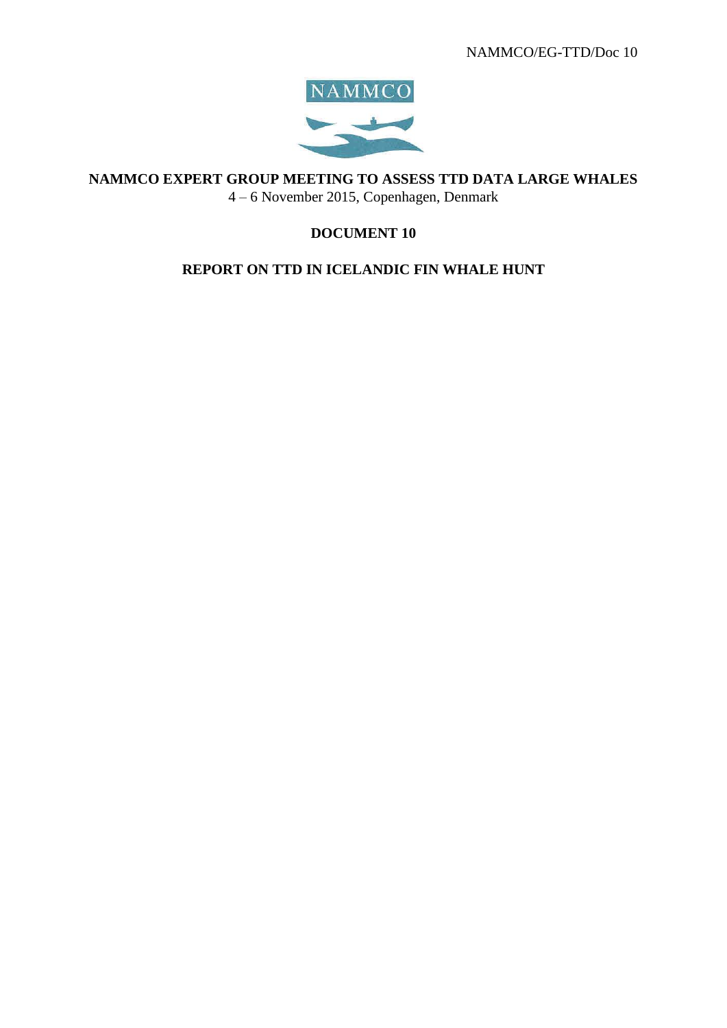

**NAMMCO EXPERT GROUP MEETING TO ASSESS TTD DATA LARGE WHALES**

4 – 6 November 2015, Copenhagen, Denmark

# **DOCUMENT 10**

## **REPORT ON TTD IN ICELANDIC FIN WHALE HUNT**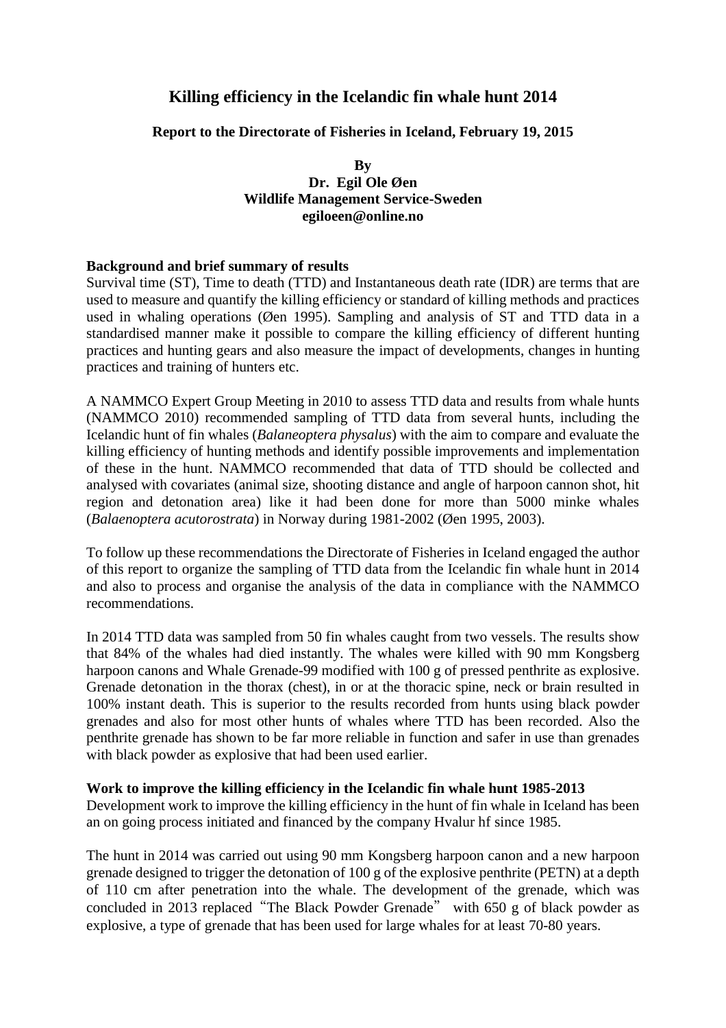# **Killing efficiency in the Icelandic fin whale hunt 2014**

## **Report to the Directorate of Fisheries in Iceland, February 19, 2015**

**By Dr. Egil Ole Øen Wildlife Management Service-Sweden egiloeen@online.no**

#### **Background and brief summary of results**

Survival time (ST), Time to death (TTD) and Instantaneous death rate (IDR) are terms that are used to measure and quantify the killing efficiency or standard of killing methods and practices used in whaling operations (Øen 1995). Sampling and analysis of ST and TTD data in a standardised manner make it possible to compare the killing efficiency of different hunting practices and hunting gears and also measure the impact of developments, changes in hunting practices and training of hunters etc.

A NAMMCO Expert Group Meeting in 2010 to assess TTD data and results from whale hunts (NAMMCO 2010) recommended sampling of TTD data from several hunts, including the Icelandic hunt of fin whales (*Balaneoptera physalus*) with the aim to compare and evaluate the killing efficiency of hunting methods and identify possible improvements and implementation of these in the hunt. NAMMCO recommended that data of TTD should be collected and analysed with covariates (animal size, shooting distance and angle of harpoon cannon shot, hit region and detonation area) like it had been done for more than 5000 minke whales (*Balaenoptera acutorostrata*) in Norway during 1981-2002 (Øen 1995, 2003).

To follow up these recommendations the Directorate of Fisheries in Iceland engaged the author of this report to organize the sampling of TTD data from the Icelandic fin whale hunt in 2014 and also to process and organise the analysis of the data in compliance with the NAMMCO recommendations.

In 2014 TTD data was sampled from 50 fin whales caught from two vessels. The results show that 84% of the whales had died instantly. The whales were killed with 90 mm Kongsberg harpoon canons and Whale Grenade-99 modified with 100 g of pressed penthrite as explosive. Grenade detonation in the thorax (chest), in or at the thoracic spine, neck or brain resulted in 100% instant death. This is superior to the results recorded from hunts using black powder grenades and also for most other hunts of whales where TTD has been recorded. Also the penthrite grenade has shown to be far more reliable in function and safer in use than grenades with black powder as explosive that had been used earlier.

#### **Work to improve the killing efficiency in the Icelandic fin whale hunt 1985-2013**

Development work to improve the killing efficiency in the hunt of fin whale in Iceland has been an on going process initiated and financed by the company Hvalur hf since 1985.

The hunt in 2014 was carried out using 90 mm Kongsberg harpoon canon and a new harpoon grenade designed to trigger the detonation of 100 g of the explosive penthrite (PETN) at a depth of 110 cm after penetration into the whale. The development of the grenade, which was concluded in 2013 replaced"The Black Powder Grenade" with 650 g of black powder as explosive, a type of grenade that has been used for large whales for at least 70-80 years.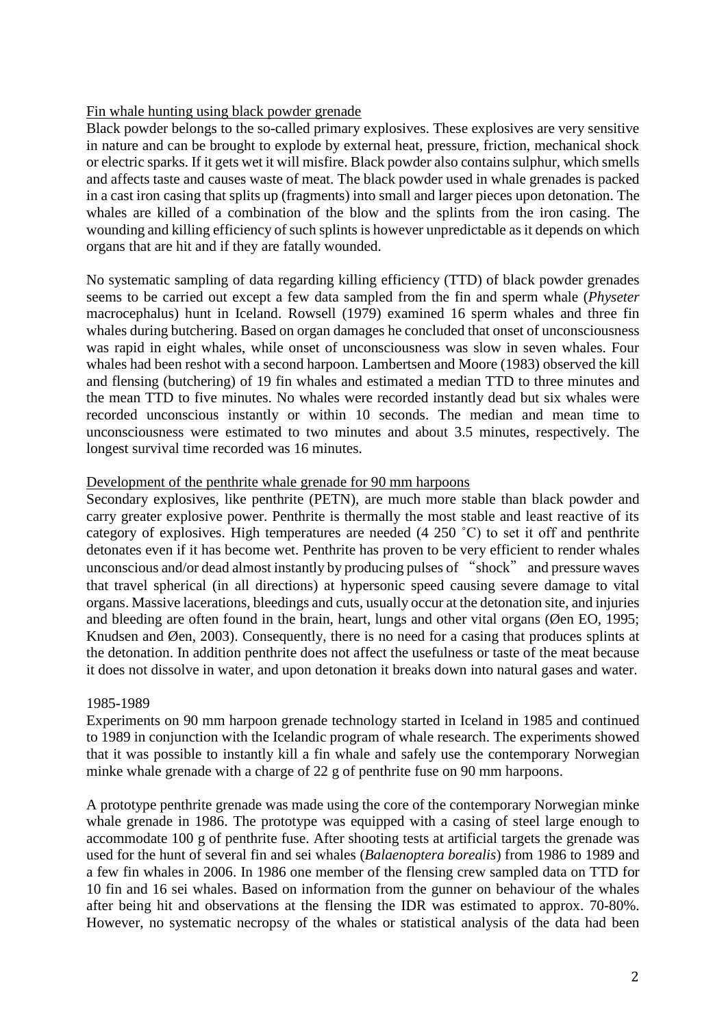## Fin whale hunting using black powder grenade

Black powder belongs to the so-called primary explosives. These explosives are very sensitive in nature and can be brought to explode by external heat, pressure, friction, mechanical shock or electric sparks. If it gets wet it will misfire. Black powder also contains sulphur, which smells and affects taste and causes waste of meat. The black powder used in whale grenades is packed in a cast iron casing that splits up (fragments) into small and larger pieces upon detonation. The whales are killed of a combination of the blow and the splints from the iron casing. The wounding and killing efficiency of such splints is however unpredictable as it depends on which organs that are hit and if they are fatally wounded.

No systematic sampling of data regarding killing efficiency (TTD) of black powder grenades seems to be carried out except a few data sampled from the fin and sperm whale (*Physeter*  macrocephalus) hunt in Iceland. Rowsell (1979) examined 16 sperm whales and three fin whales during butchering. Based on organ damages he concluded that onset of unconsciousness was rapid in eight whales, while onset of unconsciousness was slow in seven whales. Four whales had been reshot with a second harpoon. Lambertsen and Moore (1983) observed the kill and flensing (butchering) of 19 fin whales and estimated a median TTD to three minutes and the mean TTD to five minutes. No whales were recorded instantly dead but six whales were recorded unconscious instantly or within 10 seconds. The median and mean time to unconsciousness were estimated to two minutes and about 3.5 minutes, respectively. The longest survival time recorded was 16 minutes.

#### Development of the penthrite whale grenade for 90 mm harpoons

Secondary explosives, like penthrite (PETN), are much more stable than black powder and carry greater explosive power. Penthrite is thermally the most stable and least reactive of its category of explosives. High temperatures are needed (4 250 ˚C) to set it off and penthrite detonates even if it has become wet. Penthrite has proven to be very efficient to render whales unconscious and/or dead almost instantly by producing pulses of "shock" and pressure waves that travel spherical (in all directions) at hypersonic speed causing severe damage to vital organs. Massive lacerations, bleedings and cuts, usually occur at the detonation site, and injuries and bleeding are often found in the brain, heart, lungs and other vital organs (Øen EO, 1995; Knudsen and Øen, 2003). Consequently, there is no need for a casing that produces splints at the detonation. In addition penthrite does not affect the usefulness or taste of the meat because it does not dissolve in water, and upon detonation it breaks down into natural gases and water.

#### 1985-1989

Experiments on 90 mm harpoon grenade technology started in Iceland in 1985 and continued to 1989 in conjunction with the Icelandic program of whale research. The experiments showed that it was possible to instantly kill a fin whale and safely use the contemporary Norwegian minke whale grenade with a charge of 22 g of penthrite fuse on 90 mm harpoons.

A prototype penthrite grenade was made using the core of the contemporary Norwegian minke whale grenade in 1986. The prototype was equipped with a casing of steel large enough to accommodate 100 g of penthrite fuse. After shooting tests at artificial targets the grenade was used for the hunt of several fin and sei whales (*Balaenoptera borealis*) from 1986 to 1989 and a few fin whales in 2006. In 1986 one member of the flensing crew sampled data on TTD for 10 fin and 16 sei whales. Based on information from the gunner on behaviour of the whales after being hit and observations at the flensing the IDR was estimated to approx. 70-80%. However, no systematic necropsy of the whales or statistical analysis of the data had been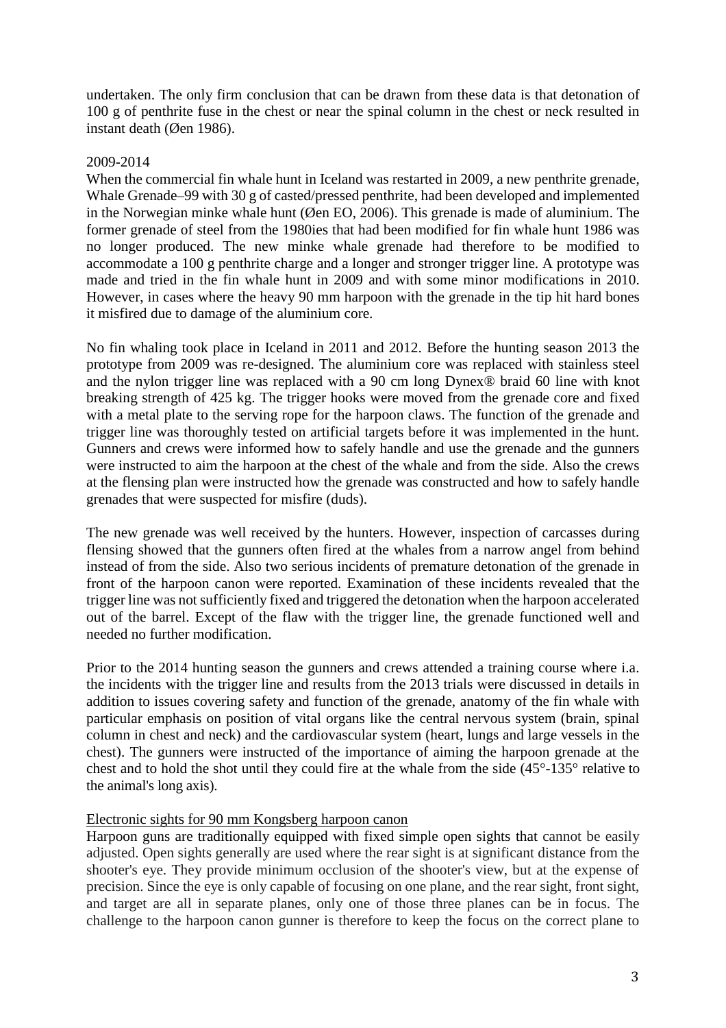undertaken. The only firm conclusion that can be drawn from these data is that detonation of 100 g of penthrite fuse in the chest or near the spinal column in the chest or neck resulted in instant death (Øen 1986).

#### 2009-2014

When the commercial fin whale hunt in Iceland was restarted in 2009, a new penthrite grenade, Whale Grenade–99 with 30 g of casted/pressed penthrite, had been developed and implemented in the Norwegian minke whale hunt (Øen EO, 2006). This grenade is made of aluminium. The former grenade of steel from the 1980ies that had been modified for fin whale hunt 1986 was no longer produced. The new minke whale grenade had therefore to be modified to accommodate a 100 g penthrite charge and a longer and stronger trigger line. A prototype was made and tried in the fin whale hunt in 2009 and with some minor modifications in 2010. However, in cases where the heavy 90 mm harpoon with the grenade in the tip hit hard bones it misfired due to damage of the aluminium core.

No fin whaling took place in Iceland in 2011 and 2012. Before the hunting season 2013 the prototype from 2009 was re-designed. The aluminium core was replaced with stainless steel and the nylon trigger line was replaced with a 90 cm long Dynex® braid 60 line with knot breaking strength of 425 kg. The trigger hooks were moved from the grenade core and fixed with a metal plate to the serving rope for the harpoon claws. The function of the grenade and trigger line was thoroughly tested on artificial targets before it was implemented in the hunt. Gunners and crews were informed how to safely handle and use the grenade and the gunners were instructed to aim the harpoon at the chest of the whale and from the side. Also the crews at the flensing plan were instructed how the grenade was constructed and how to safely handle grenades that were suspected for misfire (duds).

The new grenade was well received by the hunters. However, inspection of carcasses during flensing showed that the gunners often fired at the whales from a narrow angel from behind instead of from the side. Also two serious incidents of premature detonation of the grenade in front of the harpoon canon were reported. Examination of these incidents revealed that the trigger line was not sufficiently fixed and triggered the detonation when the harpoon accelerated out of the barrel. Except of the flaw with the trigger line, the grenade functioned well and needed no further modification.

Prior to the 2014 hunting season the gunners and crews attended a training course where i.a. the incidents with the trigger line and results from the 2013 trials were discussed in details in addition to issues covering safety and function of the grenade, anatomy of the fin whale with particular emphasis on position of vital organs like the central nervous system (brain, spinal column in chest and neck) and the cardiovascular system (heart, lungs and large vessels in the chest). The gunners were instructed of the importance of aiming the harpoon grenade at the chest and to hold the shot until they could fire at the whale from the side (45°-135° relative to the animal's long axis).

## Electronic sights for 90 mm Kongsberg harpoon canon

Harpoon guns are traditionally equipped with fixed simple open sights that cannot be easily adjusted. Open sights generally are used where the rear sight is at significant distance from the shooter's eye. They provide minimum occlusion of the shooter's view, but at the expense of precision. Since the eye is only capable of focusing on one plane, and the rear sight, front sight, and target are all in separate planes, only one of those three planes can be in focus. The challenge to the harpoon canon gunner is therefore to keep the focus on the correct plane to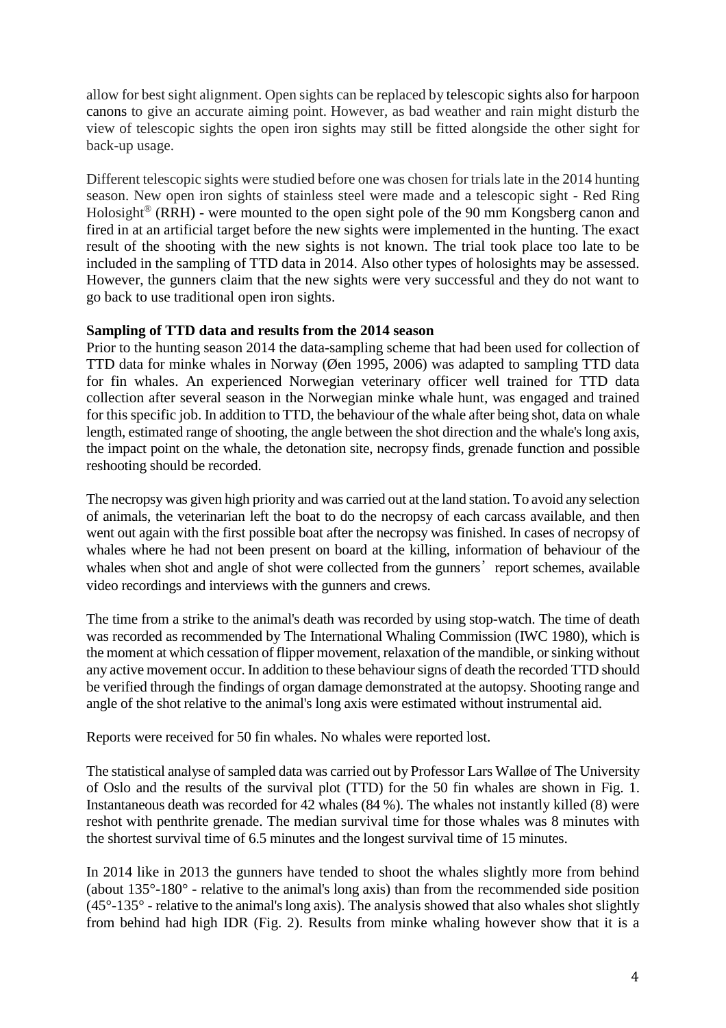allow for best sight alignment. Open sights can be replaced by [telescopic sights](http://en.wikipedia.org/wiki/Telescopic_sight) also for harpoon canons to give an accurate aiming point. However, as bad weather and rain might disturb the view of telescopic sights the open iron sights may still be fitted alongside the other sight for back-up usage.

Different telescopic sights were studied before one was chosen for trials late in the 2014 hunting season. New open iron sights of stainless steel were made and a telescopic sight - Red Ring Holosight<sup>®</sup> (RRH) - were mounted to the open sight pole of the 90 mm Kongsberg canon and fired in at an artificial target before the new sights were implemented in the hunting. The exact result of the shooting with the new sights is not known. The trial took place too late to be included in the sampling of TTD data in 2014. Also other types of holosights may be assessed. However, the gunners claim that the new sights were very successful and they do not want to go back to use traditional open iron sights.

### **Sampling of TTD data and results from the 2014 season**

Prior to the hunting season 2014 the data-sampling scheme that had been used for collection of TTD data for minke whales in Norway (Øen 1995, 2006) was adapted to sampling TTD data for fin whales. An experienced Norwegian veterinary officer well trained for TTD data collection after several season in the Norwegian minke whale hunt, was engaged and trained for this specific job. In addition to TTD, the behaviour of the whale after being shot, data on whale length, estimated range of shooting, the angle between the shot direction and the whale's long axis, the impact point on the whale, the detonation site, necropsy finds, grenade function and possible reshooting should be recorded.

The necropsy was given high priority and was carried out at the land station. To avoid any selection of animals, the veterinarian left the boat to do the necropsy of each carcass available, and then went out again with the first possible boat after the necropsy was finished. In cases of necropsy of whales where he had not been present on board at the killing, information of behaviour of the whales when shot and angle of shot were collected from the gunners' report schemes, available video recordings and interviews with the gunners and crews.

The time from a strike to the animal's death was recorded by using stop-watch. The time of death was recorded as recommended by The International Whaling Commission (IWC 1980), which is the moment at which cessation of flipper movement, relaxation of the mandible, or sinking without any active movement occur. In addition to these behaviour signs of death the recorded TTD should be verified through the findings of organ damage demonstrated at the autopsy. Shooting range and angle of the shot relative to the animal's long axis were estimated without instrumental aid.

Reports were received for 50 fin whales. No whales were reported lost.

The statistical analyse of sampled data was carried out by Professor Lars Walløe of The University of Oslo and the results of the survival plot (TTD) for the 50 fin whales are shown in Fig. 1. Instantaneous death was recorded for 42 whales (84 %). The whales not instantly killed (8) were reshot with penthrite grenade. The median survival time for those whales was 8 minutes with the shortest survival time of 6.5 minutes and the longest survival time of 15 minutes.

In 2014 like in 2013 the gunners have tended to shoot the whales slightly more from behind (about 135°-180° - relative to the animal's long axis) than from the recommended side position  $(45^{\circ} - 135^{\circ}$  - relative to the animal's long axis). The analysis showed that also whales shot slightly from behind had high IDR (Fig. 2). Results from minke whaling however show that it is a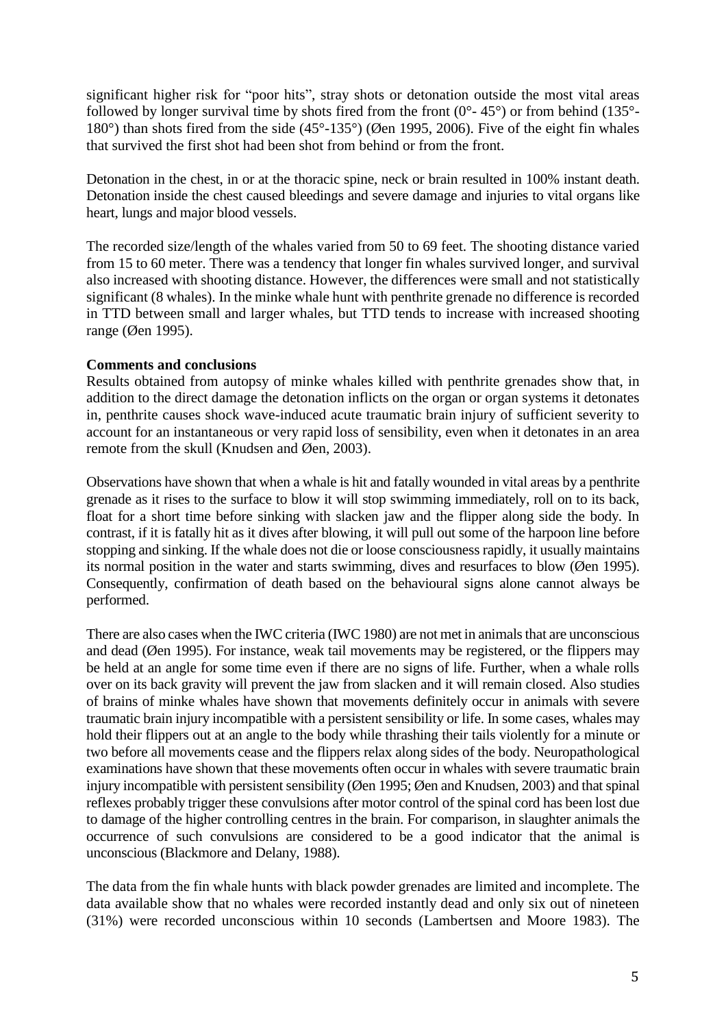significant higher risk for "poor hits", stray shots or detonation outside the most vital areas followed by longer survival time by shots fired from the front  $(0^{\circ} - 45^{\circ})$  or from behind (135°-180°) than shots fired from the side (45°-135°) (Øen 1995, 2006). Five of the eight fin whales that survived the first shot had been shot from behind or from the front.

Detonation in the chest, in or at the thoracic spine, neck or brain resulted in 100% instant death. Detonation inside the chest caused bleedings and severe damage and injuries to vital organs like heart, lungs and major blood vessels.

The recorded size/length of the whales varied from 50 to 69 feet. The shooting distance varied from 15 to 60 meter. There was a tendency that longer fin whales survived longer, and survival also increased with shooting distance. However, the differences were small and not statistically significant (8 whales). In the minke whale hunt with penthrite grenade no difference is recorded in TTD between small and larger whales, but TTD tends to increase with increased shooting range (Øen 1995).

### **Comments and conclusions**

Results obtained from autopsy of minke whales killed with penthrite grenades show that, in addition to the direct damage the detonation inflicts on the organ or organ systems it detonates in, penthrite causes shock wave-induced acute traumatic brain injury of sufficient severity to account for an instantaneous or very rapid loss of sensibility, even when it detonates in an area remote from the skull (Knudsen and Øen, 2003).

Observations have shown that when a whale is hit and fatally wounded in vital areas by a penthrite grenade as it rises to the surface to blow it will stop swimming immediately, roll on to its back, float for a short time before sinking with slacken jaw and the flipper along side the body. In contrast, if it is fatally hit as it dives after blowing, it will pull out some of the harpoon line before stopping and sinking. If the whale does not die or loose consciousness rapidly, it usually maintains its normal position in the water and starts swimming, dives and resurfaces to blow (Øen 1995). Consequently, confirmation of death based on the behavioural signs alone cannot always be performed.

There are also cases when the IWC criteria (IWC 1980) are not met in animals that are unconscious and dead (Øen 1995). For instance, weak tail movements may be registered, or the flippers may be held at an angle for some time even if there are no signs of life. Further, when a whale rolls over on its back gravity will prevent the jaw from slacken and it will remain closed. Also studies of brains of minke whales have shown that movements definitely occur in animals with severe traumatic brain injury incompatible with a persistent sensibility or life. In some cases, whales may hold their flippers out at an angle to the body while thrashing their tails violently for a minute or two before all movements cease and the flippers relax along sides of the body. Neuropathological examinations have shown that these movements often occur in whales with severe traumatic brain injury incompatible with persistent sensibility (Øen 1995; Øen and Knudsen, 2003) and that spinal reflexes probably trigger these convulsions after motor control of the spinal cord has been lost due to damage of the higher controlling centres in the brain. For comparison, in slaughter animals the occurrence of such convulsions are considered to be a good indicator that the animal is unconscious (Blackmore and Delany, 1988).

The data from the fin whale hunts with black powder grenades are limited and incomplete. The data available show that no whales were recorded instantly dead and only six out of nineteen (31%) were recorded unconscious within 10 seconds (Lambertsen and Moore 1983). The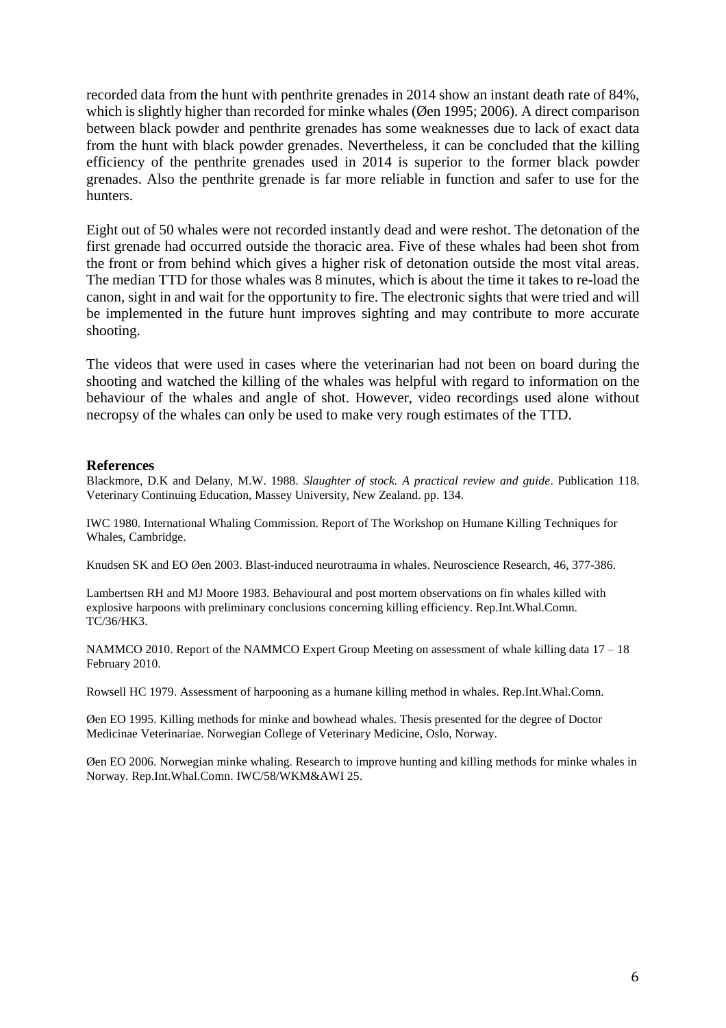recorded data from the hunt with penthrite grenades in 2014 show an instant death rate of 84%, which is slightly higher than recorded for minke whales (Øen 1995; 2006). A direct comparison between black powder and penthrite grenades has some weaknesses due to lack of exact data from the hunt with black powder grenades. Nevertheless, it can be concluded that the killing efficiency of the penthrite grenades used in 2014 is superior to the former black powder grenades. Also the penthrite grenade is far more reliable in function and safer to use for the hunters.

Eight out of 50 whales were not recorded instantly dead and were reshot. The detonation of the first grenade had occurred outside the thoracic area. Five of these whales had been shot from the front or from behind which gives a higher risk of detonation outside the most vital areas. The median TTD for those whales was 8 minutes, which is about the time it takes to re-load the canon, sight in and wait for the opportunity to fire. The electronic sights that were tried and will be implemented in the future hunt improves sighting and may contribute to more accurate shooting.

The videos that were used in cases where the veterinarian had not been on board during the shooting and watched the killing of the whales was helpful with regard to information on the behaviour of the whales and angle of shot. However, video recordings used alone without necropsy of the whales can only be used to make very rough estimates of the TTD.

#### **References**

Blackmore, D.K and Delany, M.W. 1988. *Slaughter of stock. A practical review and guide*. Publication 118. Veterinary Continuing Education, Massey University, New Zealand. pp. 134.

IWC 1980. International Whaling Commission. Report of The Workshop on Humane Killing Techniques for Whales, Cambridge.

Knudsen SK and EO Øen 2003. Blast-induced neurotrauma in whales. Neuroscience Research, 46, 377-386.

Lambertsen RH and MJ Moore 1983. Behavioural and post mortem observations on fin whales killed with explosive harpoons with preliminary conclusions concerning killing efficiency. Rep.Int.Whal.Comn. TC/36/HK3.

NAMMCO 2010. Report of the NAMMCO Expert Group Meeting on assessment of whale killing data  $17 - 18$ February 2010.

Rowsell HC 1979. Assessment of harpooning as a humane killing method in whales. Rep.Int.Whal.Comn.

Øen EO 1995. Killing methods for minke and bowhead whales. Thesis presented for the degree of Doctor Medicinae Veterinariae. Norwegian College of Veterinary Medicine, Oslo, Norway.

Øen EO 2006. Norwegian minke whaling. Research to improve hunting and killing methods for minke whales in Norway. Rep.Int.Whal.Comn. IWC/58/WKM&AWI 25.